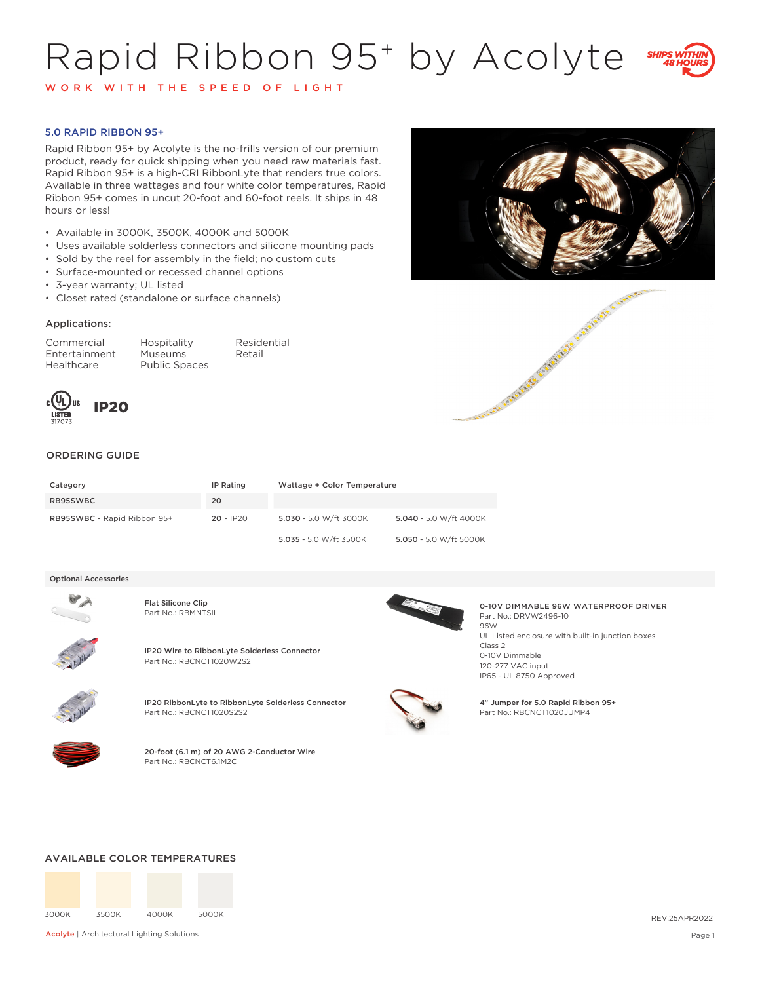# Rapid Ribbon 95+ by Acolyte



W O R K W I T H T H E S P E E D O F L I G H T

## 5.0 RAPID RIBBON 95+

Rapid Ribbon 95+ by Acolyte is the no-frills version of our premium product, ready for quick shipping when you need raw materials fast. Rapid Ribbon 95+ is a high-CRI RibbonLyte that renders true colors. Available in three wattages and four white color temperatures, Rapid Ribbon 95+ comes in uncut 20-foot and 60-foot reels. It ships in 48 hours or less!

- Available in 3000K, 3500K, 4000K and 5000K
- Uses available solderless connectors and silicone mounting pads
- Sold by the reel for assembly in the field; no custom cuts
- Surface-mounted or recessed channel options
- 3-year warranty; UL listed
- Closet rated (standalone or surface channels)

### Applications:

Commercial Hospitality Residential Entertainment Museums Healthcare Public Spaces







# ORDERING GUIDE

| Category                    | IP Rating   | Wattage + Color Temperature |                        |
|-----------------------------|-------------|-----------------------------|------------------------|
| RB95SWBC                    | 20          |                             |                        |
| RB95SWBC - Rapid Ribbon 95+ | $20 - IP20$ | 5.030 - 5.0 W/ft 3000K      | 5.040 - 5.0 W/ft 4000K |
|                             |             | 5.035 - 5.0 W/ft 3500K      | 5.050 - 5.0 W/ft 5000K |

#### Optional Accessories



Flat Silicone Clip<br>Part No.: RBMNTSIL



IP20 Wire to RibbonLyte Solderless Connector Part No.: RBCNCT1020W2S2



IP20 RibbonLyte to RibbonLyte Solderless Connector Part No.: RBCNCT1020S2S2



20-foot (6.1 m) of 20 AWG 2-Conductor Wire Part No.: RBCNCT6.1M2C



0-10V DIMMABLE 96W WATERPROOF DRIVER Part No.: DRVW2496-10 96W UL Listed enclosure with built-in junction boxes Class 2 0-10V Dimmable 120-277 VAC input IP65 - UL 8750 Approved

4" Jumper for 5.0 Rapid Ribbon 95+ Part No.: RBCNCT1020JUMP4

#### AVAILABLE COLOR TEMPERATURES



Acolyte | Architectural Lighting Solutions **Page 1** and the state of the state of the state of the state of the state of the state of the state of the state of the state of the state of the state of the state of the state